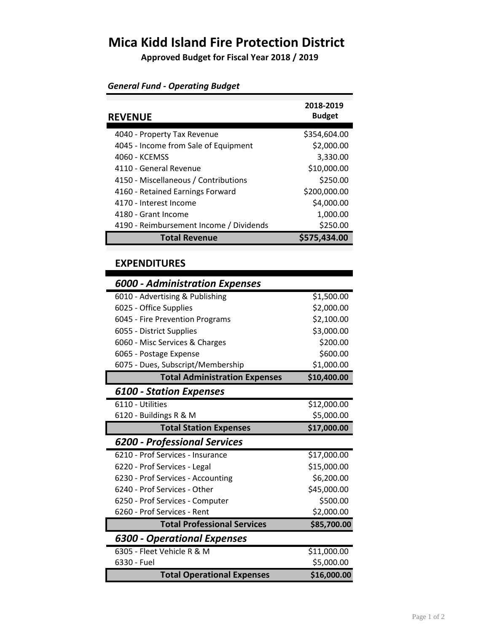## **Mica Kidd Island Fire Protection District**

**Approved Budget for Fiscal Year 2018 / 2019**

| <b>REVENUE</b>                          | 2018-2019<br><b>Budget</b> |
|-----------------------------------------|----------------------------|
| 4040 - Property Tax Revenue             | \$354,604.00               |
| 4045 - Income from Sale of Equipment    | \$2,000.00                 |
| 4060 - KCEMSS                           | 3,330.00                   |
| 4110 - General Revenue                  | \$10,000.00                |
| 4150 - Miscellaneous / Contributions    | \$250.00                   |
| 4160 - Retained Earnings Forward        | \$200,000.00               |
| 4170 - Interest Income                  | \$4,000.00                 |
| 4180 - Grant Income                     | 1,000.00                   |
| 4190 - Reimbursement Income / Dividends | \$250.00                   |
| <b>Total Revenue</b>                    | \$575,434.00               |

#### *General Fund - Operating Budget*

#### **EXPENDITURES**

### *6000 - Administration Expenses*  6010 - Advertising & Publishing  $$1,500.00$ 6025 - Office Supplies \$2,000.00 6045 - Fire Prevention Programs \$2,100.00 6055 - District Supplies \$3,000.00 6060 - Misc Services & Charges \$200.00 6065 - Postage Expense  $\frac{1}{2}$  600.00 6075 - Dues, Subscript/Membership \$1,000.00 **Total Administration Expenses \$10,400.00** *6100 - Station Expenses*  6110 - Utilities **\$12,000.00** 6120 - Buildings R & M \$5,000.00 **Total Station Expenses \$17,000.00** *6200 - Professional Services* 6210 - Prof Services - Insurance \$17,000.00 6220 - Prof Services - Legal \$15,000.00 6230 - Prof Services - Accounting \$6,200.00 6240 - Prof Services - Other \$45,000.00 6250 - Prof Services - Computer  $$500.00$ 6260 - Prof Services - Rent \$2,000.00 **Total Professional Services** \$85,700.00 *6300 - Operational Expenses* 6305 - Fleet Vehicle R & M \$11,000.00 6330 - Fuel \$5,000.00 **Total Operational Expenses \$16,000.00**